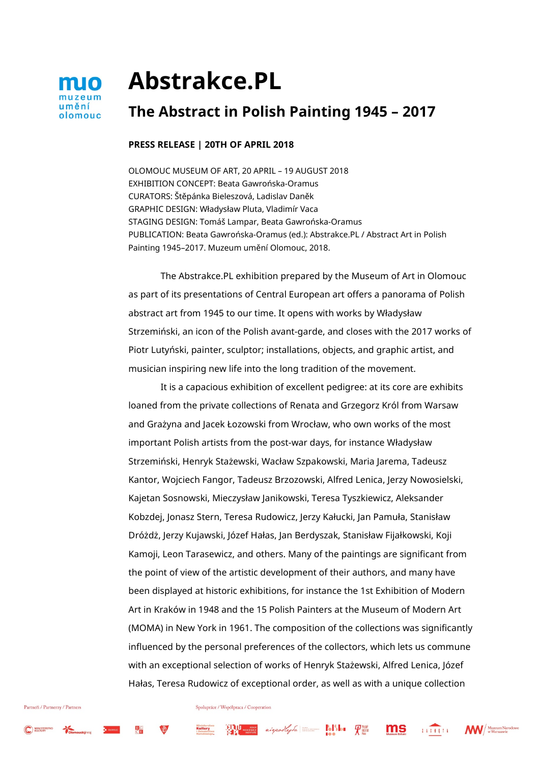

## **Abstrakce.PL**

## **The Abstract in Polish Painting 1945 – 2017**

## **PRESS RELEASE | 20TH OF APRIL 2018**

OLOMOUC MUSEUM OF ART, 20 APRIL – 19 AUGUST 2018 EXHIBITION CONCEPT: Beata Gawrońska-Oramus CURATORS: Štěpánka Bieleszová, Ladislav Daněk GRAPHIC DESIGN: Władysław Pluta, Vladimír Vaca STAGING DESIGN: Tomáš Lampar, Beata Gawrońska-Oramus PUBLICATION: Beata Gawrońska-Oramus (ed.): Abstrakce.PL / Abstract Art in Polish Painting 1945–2017. Muzeum umění Olomouc, 2018.

The Abstrakce.PL exhibition prepared by the Museum of Art in Olomouc as part of its presentations of Central European art offers a panorama of Polish abstract art from 1945 to our time. It opens with works by Władysław Strzemiński, an icon of the Polish avant-garde, and closes with the 2017 works of Piotr Lutyński, painter, sculptor; installations, objects, and graphic artist, and musician inspiring new life into the long tradition of the movement.

It is a capacious exhibition of excellent pedigree: at its core are exhibits loaned from the private collections of Renata and Grzegorz Król from Warsaw and Grażyna and Jacek Łozowski from Wrocław, who own works of the most important Polish artists from the post-war days, for instance Władysław Strzemiński, Henryk Stażewski, Wacław Szpakowski, Maria Jarema, Tadeusz Kantor, Wojciech Fangor, Tadeusz Brzozowski, Alfred Lenica, Jerzy Nowosielski, Kajetan Sosnowski, Mieczysław Janikowski, Teresa Tyszkiewicz, Aleksander Kobzdej, Jonasz Stern, Teresa Rudowicz, Jerzy Kałucki, Jan Pamuła, Stanisław Dróżdż, Jerzy Kujawski, Józef Hałas, Jan Berdyszak, Stanisław Fijałkowski, Koji Kamoji, Leon Tarasewicz, and others. Many of the paintings are significant from the point of view of the artistic development of their authors, and many have been displayed at historic exhibitions, for instance the 1st Exhibition of Modern Art in Kraków in 1948 and the 15 Polish Painters at the Museum of Modern Art (MOMA) in New York in 1961. The composition of the collections was significantly influenced by the personal preferences of the collectors, which lets us commune with an exceptional selection of works of Henryk Stażewski, Alfred Lenica, Józef Hałas, Teresa Rudowicz of exceptional order, as well as with a unique collection

Spolupráce / Współpraca / Cooperation



MINISTERSTVO **Olomoucký** kr







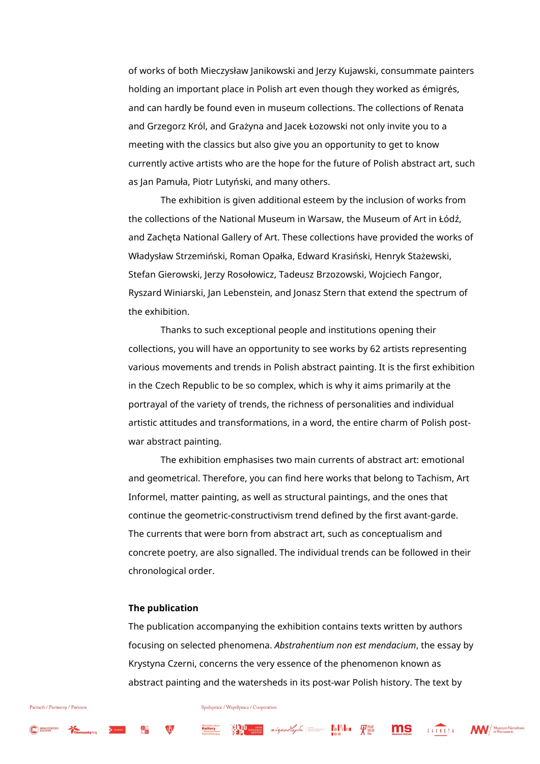of works of both Mieczysław Janikowski and Jerzy Kujawski, consummate painters holding an important place in Polish art even though they worked as émigrés, and can hardly be found even in museum collections. The collections of Renata and Grzegorz Król, and Grażyna and Jacek Łozowski not only invite you to a meeting with the classics but also give you an opportunity to get to know currently active artists who are the hope for the future of Polish abstract art, such as Jan Pamuła, Piotr Lutyński, and many others.

The exhibition is given additional esteem by the inclusion of works from the collections of the National Museum in Warsaw, the Museum of Art in Łódź, and Zachęta National Gallery of Art. These collections have provided the works of Władysław Strzemiński, Roman Opałka, Edward Krasiński, Henryk Stażewski, Stefan Gierowski, Jerzy Rosołowicz, Tadeusz Brzozowski, Wojciech Fangor, Ryszard Winiarski, Jan Lebenstein, and Jonasz Stern that extend the spectrum of the exhibition.

Thanks to such exceptional people and institutions opening their collections, you will have an opportunity to see works by 62 artists representing various movements and trends in Polish abstract painting. It is the first exhibition in the Czech Republic to be so complex, which is why it aims primarily at the portrayal of the variety of trends, the richness of personalities and individual artistic attitudes and transformations, in a word, the entire charm of Polish postwar abstract painting.

The exhibition emphasises two main currents of abstract art: emotional and geometrical. Therefore, you can find here works that belong to Tachism, Art Informel, matter painting, as well as structural paintings, and the ones that continue the geometric-constructivism trend defined by the first avant-garde. The currents that were born from abstract art, such as conceptualism and concrete poetry, are also signalled. The individual trends can be followed in their chronological order.

## **The publication**

The publication accompanying the exhibition contains texts written by authors focusing on selected phenomena. *Abstrahentium non est mendacium*, the essay by Krystyna Czerni, concerns the very essence of the phenomenon known as abstract painting and the watersheds in its post-war Polish history. The text by

 ${\rm Spolupráce}$  /  ${\rm Wsp\'o}lpraca$  /  ${\rm Cooperation}$ 

MINISTERSTVO A



ms